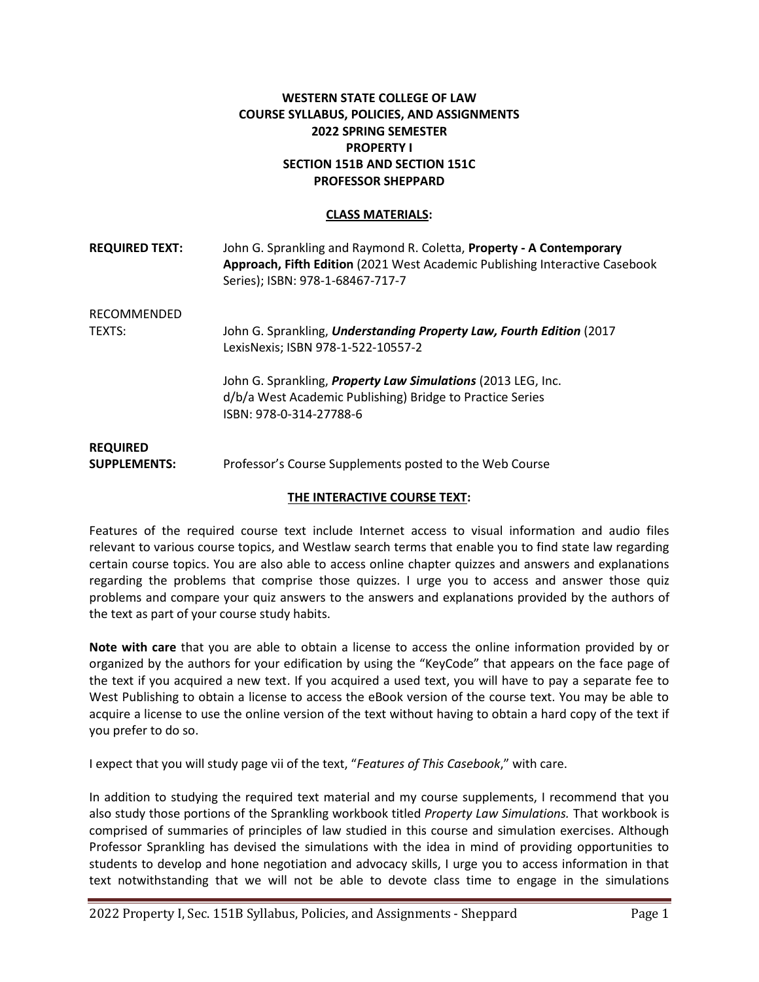### **WESTERN STATE COLLEGE OF LAW COURSE SYLLABUS, POLICIES, AND ASSIGNMENTS 2022 SPRING SEMESTER PROPERTY I SECTION 151B AND SECTION 151C PROFESSOR SHEPPARD**

#### **CLASS MATERIALS:**

| <b>REQUIRED TEXT:</b>                  | John G. Sprankling and Raymond R. Coletta, Property - A Contemporary<br>Approach, Fifth Edition (2021 West Academic Publishing Interactive Casebook<br>Series); ISBN: 978-1-68467-717-7 |
|----------------------------------------|-----------------------------------------------------------------------------------------------------------------------------------------------------------------------------------------|
| RECOMMENDED                            |                                                                                                                                                                                         |
| TEXTS:                                 | John G. Sprankling, Understanding Property Law, Fourth Edition (2017<br>LexisNexis; ISBN 978-1-522-10557-2                                                                              |
|                                        | John G. Sprankling, <b>Property Law Simulations</b> (2013 LEG, Inc.<br>d/b/a West Academic Publishing) Bridge to Practice Series<br>ISBN: 978-0-314-27788-6                             |
| <b>REQUIRED</b><br><b>SUPPLEMENTS:</b> | Professor's Course Supplements posted to the Web Course                                                                                                                                 |

#### **THE INTERACTIVE COURSE TEXT:**

Features of the required course text include Internet access to visual information and audio files relevant to various course topics, and Westlaw search terms that enable you to find state law regarding certain course topics. You are also able to access online chapter quizzes and answers and explanations regarding the problems that comprise those quizzes. I urge you to access and answer those quiz problems and compare your quiz answers to the answers and explanations provided by the authors of the text as part of your course study habits.

**Note with care** that you are able to obtain a license to access the online information provided by or organized by the authors for your edification by using the "KeyCode" that appears on the face page of the text if you acquired a new text. If you acquired a used text, you will have to pay a separate fee to West Publishing to obtain a license to access the eBook version of the course text. You may be able to acquire a license to use the online version of the text without having to obtain a hard copy of the text if you prefer to do so.

I expect that you will study page vii of the text, "*Features of This Casebook*," with care.

In addition to studying the required text material and my course supplements, I recommend that you also study those portions of the Sprankling workbook titled *Property Law Simulations.* That workbook is comprised of summaries of principles of law studied in this course and simulation exercises. Although Professor Sprankling has devised the simulations with the idea in mind of providing opportunities to students to develop and hone negotiation and advocacy skills, I urge you to access information in that text notwithstanding that we will not be able to devote class time to engage in the simulations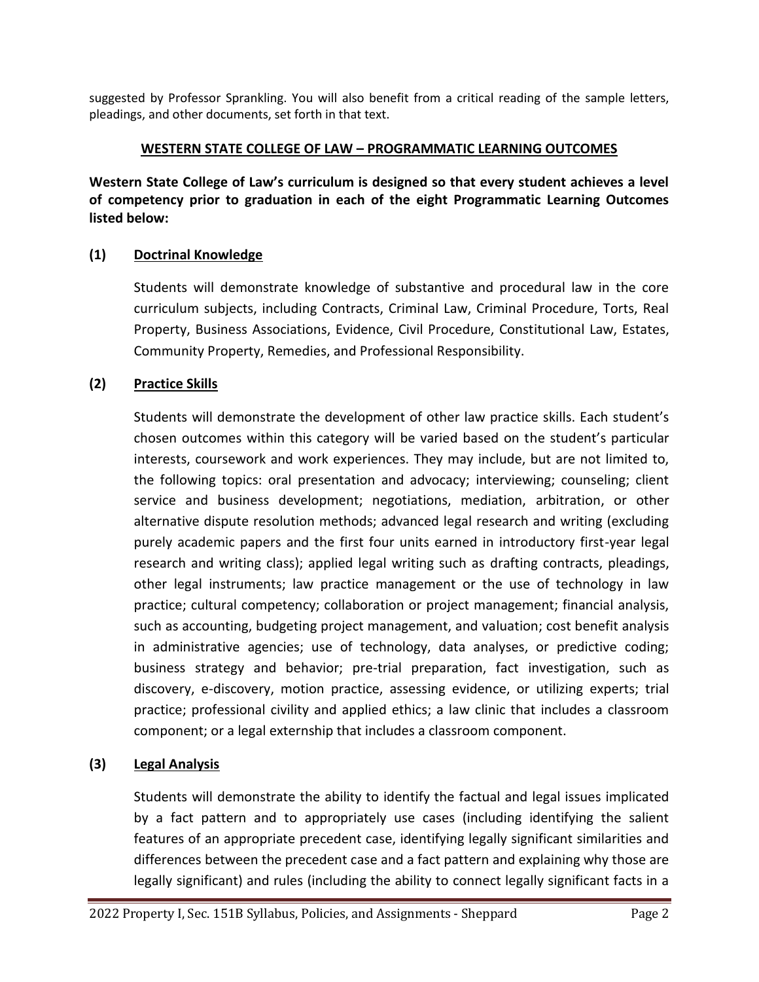suggested by Professor Sprankling. You will also benefit from a critical reading of the sample letters, pleadings, and other documents, set forth in that text.

## **WESTERN STATE COLLEGE OF LAW – PROGRAMMATIC LEARNING OUTCOMES**

**Western State College of Law's curriculum is designed so that every student achieves a level of competency prior to graduation in each of the eight Programmatic Learning Outcomes listed below:**

# **(1) Doctrinal Knowledge**

Students will demonstrate knowledge of substantive and procedural law in the core curriculum subjects, including Contracts, Criminal Law, Criminal Procedure, Torts, Real Property, Business Associations, Evidence, Civil Procedure, Constitutional Law, Estates, Community Property, Remedies, and Professional Responsibility.

# **(2) Practice Skills**

Students will demonstrate the development of other law practice skills. Each student's chosen outcomes within this category will be varied based on the student's particular interests, coursework and work experiences. They may include, but are not limited to, the following topics: oral presentation and advocacy; interviewing; counseling; client service and business development; negotiations, mediation, arbitration, or other alternative dispute resolution methods; advanced legal research and writing (excluding purely academic papers and the first four units earned in introductory first-year legal research and writing class); applied legal writing such as drafting contracts, pleadings, other legal instruments; law practice management or the use of technology in law practice; cultural competency; collaboration or project management; financial analysis, such as accounting, budgeting project management, and valuation; cost benefit analysis in administrative agencies; use of technology, data analyses, or predictive coding; business strategy and behavior; pre-trial preparation, fact investigation, such as discovery, e-discovery, motion practice, assessing evidence, or utilizing experts; trial practice; professional civility and applied ethics; a law clinic that includes a classroom component; or a legal externship that includes a classroom component.

# **(3) Legal Analysis**

Students will demonstrate the ability to identify the factual and legal issues implicated by a fact pattern and to appropriately use cases (including identifying the salient features of an appropriate precedent case, identifying legally significant similarities and differences between the precedent case and a fact pattern and explaining why those are legally significant) and rules (including the ability to connect legally significant facts in a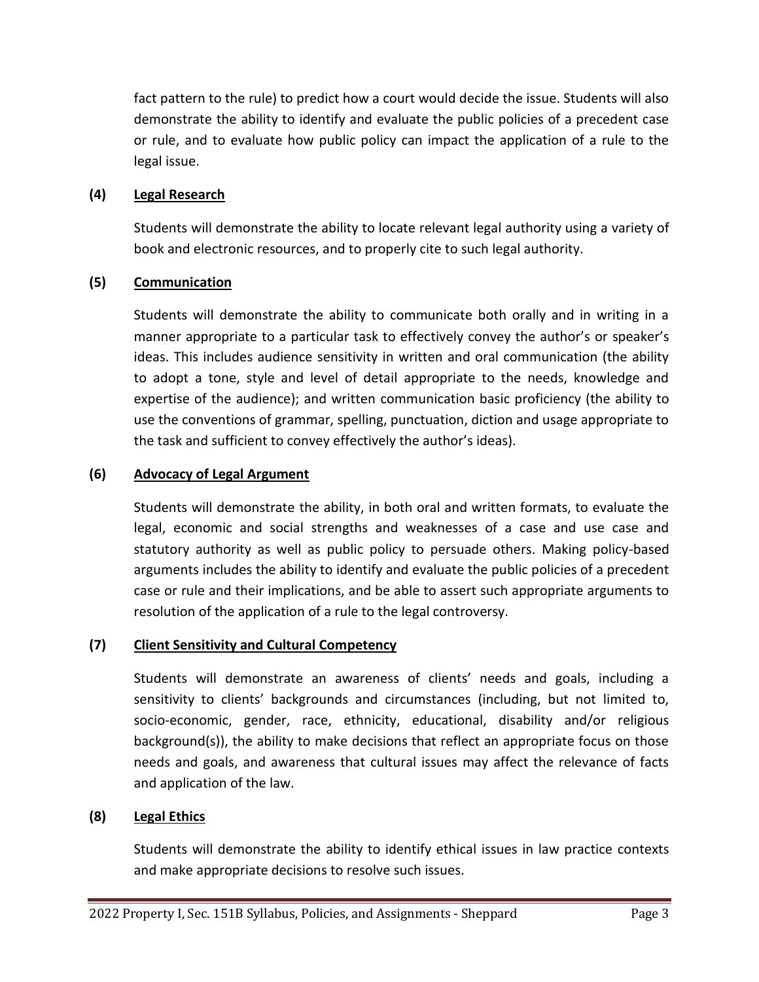fact pattern to the rule) to predict how a court would decide the issue. Students will also demonstrate the ability to identify and evaluate the public policies of a precedent case or rule, and to evaluate how public policy can impact the application of a rule to the legal issue.

## **(4) Legal Research**

Students will demonstrate the ability to locate relevant legal authority using a variety of book and electronic resources, and to properly cite to such legal authority.

# **(5) Communication**

Students will demonstrate the ability to communicate both orally and in writing in a manner appropriate to a particular task to effectively convey the author's or speaker's ideas. This includes audience sensitivity in written and oral communication (the ability to adopt a tone, style and level of detail appropriate to the needs, knowledge and expertise of the audience); and written communication basic proficiency (the ability to use the conventions of grammar, spelling, punctuation, diction and usage appropriate to the task and sufficient to convey effectively the author's ideas).

## **(6) Advocacy of Legal Argument**

Students will demonstrate the ability, in both oral and written formats, to evaluate the legal, economic and social strengths and weaknesses of a case and use case and statutory authority as well as public policy to persuade others. Making policy-based arguments includes the ability to identify and evaluate the public policies of a precedent case or rule and their implications, and be able to assert such appropriate arguments to resolution of the application of a rule to the legal controversy.

## **(7) Client Sensitivity and Cultural Competency**

Students will demonstrate an awareness of clients' needs and goals, including a sensitivity to clients' backgrounds and circumstances (including, but not limited to, socio-economic, gender, race, ethnicity, educational, disability and/or religious background(s)), the ability to make decisions that reflect an appropriate focus on those needs and goals, and awareness that cultural issues may affect the relevance of facts and application of the law.

## **(8) Legal Ethics**

Students will demonstrate the ability to identify ethical issues in law practice contexts and make appropriate decisions to resolve such issues.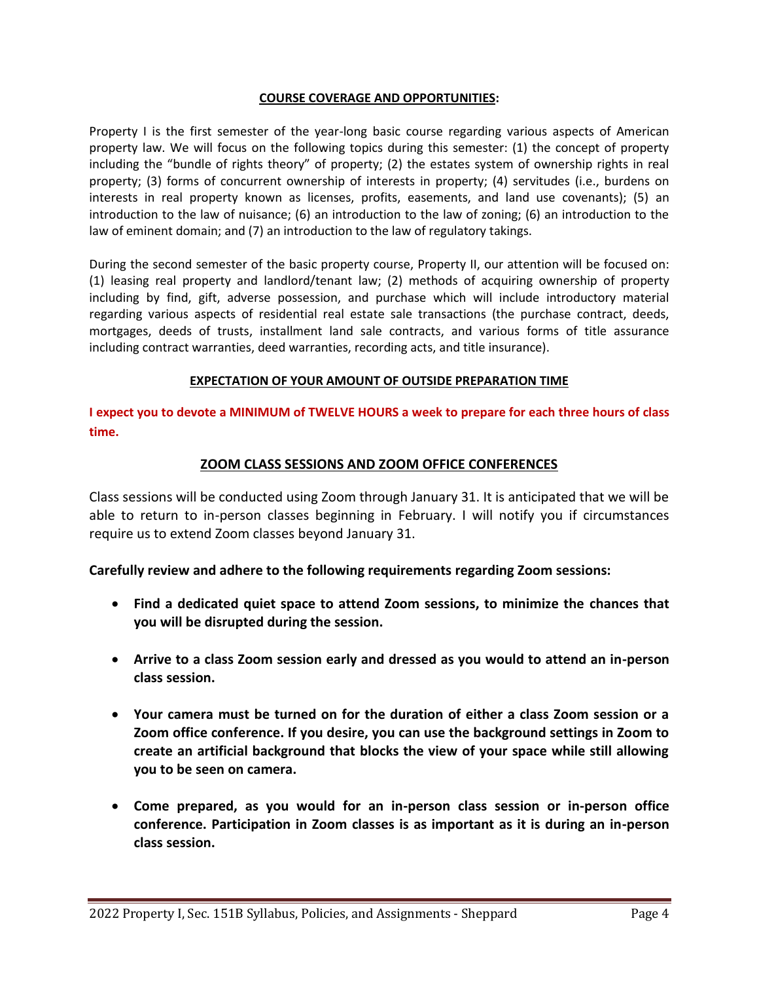#### **COURSE COVERAGE AND OPPORTUNITIES:**

Property I is the first semester of the year-long basic course regarding various aspects of American property law. We will focus on the following topics during this semester: (1) the concept of property including the "bundle of rights theory" of property; (2) the estates system of ownership rights in real property; (3) forms of concurrent ownership of interests in property; (4) servitudes (i.e., burdens on interests in real property known as licenses, profits, easements, and land use covenants); (5) an introduction to the law of nuisance; (6) an introduction to the law of zoning; (6) an introduction to the law of eminent domain; and (7) an introduction to the law of regulatory takings.

During the second semester of the basic property course, Property II, our attention will be focused on: (1) leasing real property and landlord/tenant law; (2) methods of acquiring ownership of property including by find, gift, adverse possession, and purchase which will include introductory material regarding various aspects of residential real estate sale transactions (the purchase contract, deeds, mortgages, deeds of trusts, installment land sale contracts, and various forms of title assurance including contract warranties, deed warranties, recording acts, and title insurance).

#### **EXPECTATION OF YOUR AMOUNT OF OUTSIDE PREPARATION TIME**

**I expect you to devote a MINIMUM of TWELVE HOURS a week to prepare for each three hours of class time.**

## **ZOOM CLASS SESSIONS AND ZOOM OFFICE CONFERENCES**

Class sessions will be conducted using Zoom through January 31. It is anticipated that we will be able to return to in-person classes beginning in February. I will notify you if circumstances require us to extend Zoom classes beyond January 31.

**Carefully review and adhere to the following requirements regarding Zoom sessions:**

- **Find a dedicated quiet space to attend Zoom sessions, to minimize the chances that you will be disrupted during the session.**
- **Arrive to a class Zoom session early and dressed as you would to attend an in-person class session.**
- **Your camera must be turned on for the duration of either a class Zoom session or a Zoom office conference. If you desire, you can use the background settings in Zoom to create an artificial background that blocks the view of your space while still allowing you to be seen on camera.**
- **Come prepared, as you would for an in-person class session or in-person office conference. Participation in Zoom classes is as important as it is during an in-person class session.**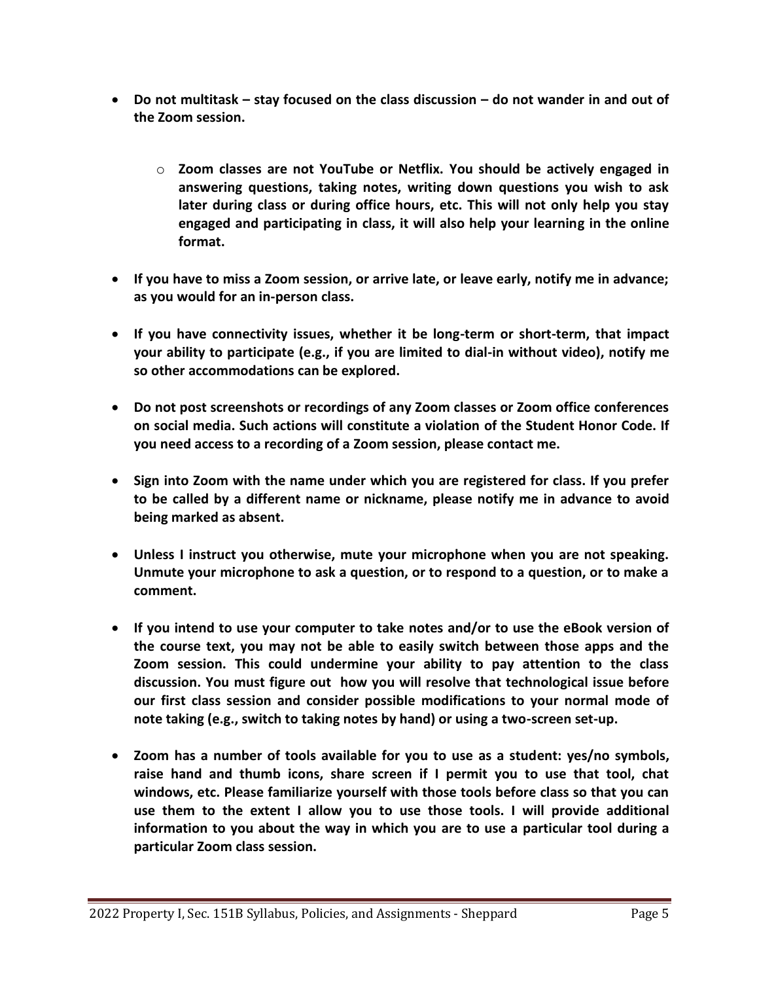- **Do not multitask – stay focused on the class discussion – do not wander in and out of the Zoom session.**
	- o **Zoom classes are not YouTube or Netflix. You should be actively engaged in answering questions, taking notes, writing down questions you wish to ask later during class or during office hours, etc. This will not only help you stay engaged and participating in class, it will also help your learning in the online format.**
- **If you have to miss a Zoom session, or arrive late, or leave early, notify me in advance; as you would for an in-person class.**
- **If you have connectivity issues, whether it be long-term or short-term, that impact your ability to participate (e.g., if you are limited to dial-in without video), notify me so other accommodations can be explored.**
- **Do not post screenshots or recordings of any Zoom classes or Zoom office conferences on social media. Such actions will constitute a violation of the Student Honor Code. If you need access to a recording of a Zoom session, please contact me.**
- **Sign into Zoom with the name under which you are registered for class. If you prefer to be called by a different name or nickname, please notify me in advance to avoid being marked as absent.**
- **Unless I instruct you otherwise, mute your microphone when you are not speaking. Unmute your microphone to ask a question, or to respond to a question, or to make a comment.**
- **If you intend to use your computer to take notes and/or to use the eBook version of the course text, you may not be able to easily switch between those apps and the Zoom session. This could undermine your ability to pay attention to the class discussion. You must figure out how you will resolve that technological issue before our first class session and consider possible modifications to your normal mode of note taking (e.g., switch to taking notes by hand) or using a two-screen set-up.**
- **Zoom has a number of tools available for you to use as a student: yes/no symbols, raise hand and thumb icons, share screen if I permit you to use that tool, chat windows, etc. Please familiarize yourself with those tools before class so that you can use them to the extent I allow you to use those tools. I will provide additional information to you about the way in which you are to use a particular tool during a particular Zoom class session.**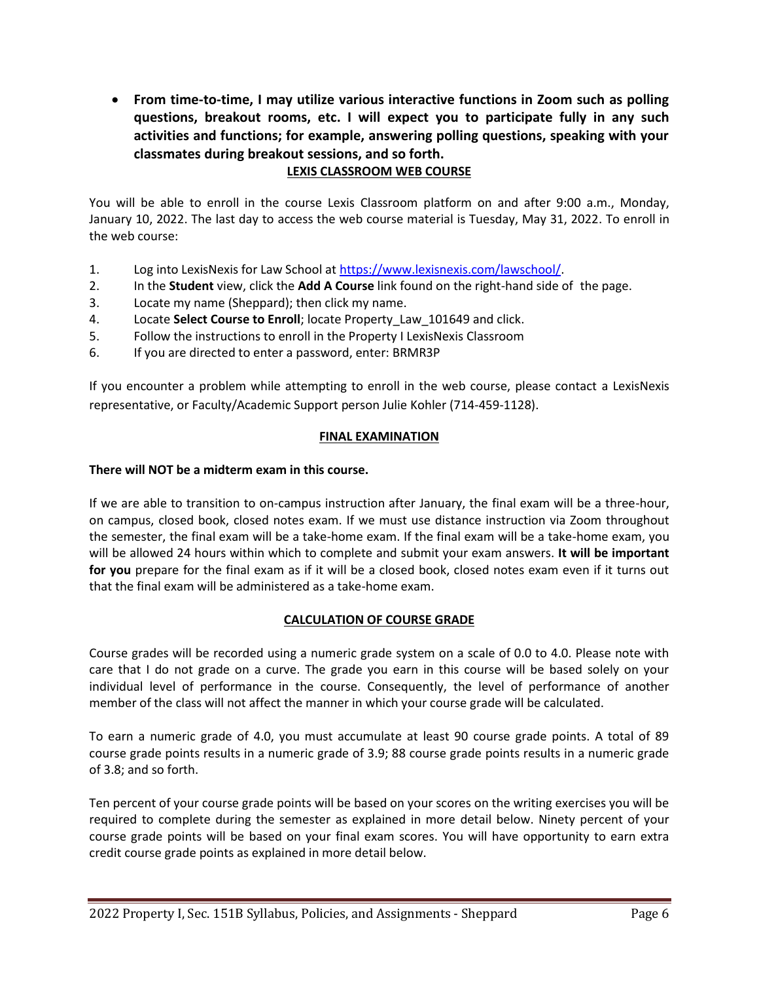**From time-to-time, I may utilize various interactive functions in Zoom such as polling questions, breakout rooms, etc. I will expect you to participate fully in any such activities and functions; for example, answering polling questions, speaking with your classmates during breakout sessions, and so forth.**

## **LEXIS CLASSROOM WEB COURSE**

You will be able to enroll in the course Lexis Classroom platform on and after 9:00 a.m., Monday, January 10, 2022. The last day to access the web course material is Tuesday, May 31, 2022. To enroll in the web course:

- 1. Log into LexisNexis for Law School at [https://www.lexisnexis.com/lawschool/.](https://www.lexisnexis.com/lawschool/)
- 2. In the **Student** view, click the **Add A Course** link found on the right-hand side of the page.
- 3. Locate my name (Sheppard); then click my name.
- 4. Locate **Select Course to Enroll**; locate Property\_Law\_101649 and click.
- 5. Follow the instructions to enroll in the Property I LexisNexis Classroom
- 6. If you are directed to enter a password, enter: BRMR3P

If you encounter a problem while attempting to enroll in the web course, please contact a LexisNexis representative, or Faculty/Academic Support person Julie Kohler (714-459-1128).

## **FINAL EXAMINATION**

### **There will NOT be a midterm exam in this course.**

If we are able to transition to on-campus instruction after January, the final exam will be a three-hour, on campus, closed book, closed notes exam. If we must use distance instruction via Zoom throughout the semester, the final exam will be a take-home exam. If the final exam will be a take-home exam, you will be allowed 24 hours within which to complete and submit your exam answers. **It will be important for you** prepare for the final exam as if it will be a closed book, closed notes exam even if it turns out that the final exam will be administered as a take-home exam.

## **CALCULATION OF COURSE GRADE**

Course grades will be recorded using a numeric grade system on a scale of 0.0 to 4.0. Please note with care that I do not grade on a curve. The grade you earn in this course will be based solely on your individual level of performance in the course. Consequently, the level of performance of another member of the class will not affect the manner in which your course grade will be calculated.

To earn a numeric grade of 4.0, you must accumulate at least 90 course grade points. A total of 89 course grade points results in a numeric grade of 3.9; 88 course grade points results in a numeric grade of 3.8; and so forth.

Ten percent of your course grade points will be based on your scores on the writing exercises you will be required to complete during the semester as explained in more detail below. Ninety percent of your course grade points will be based on your final exam scores. You will have opportunity to earn extra credit course grade points as explained in more detail below.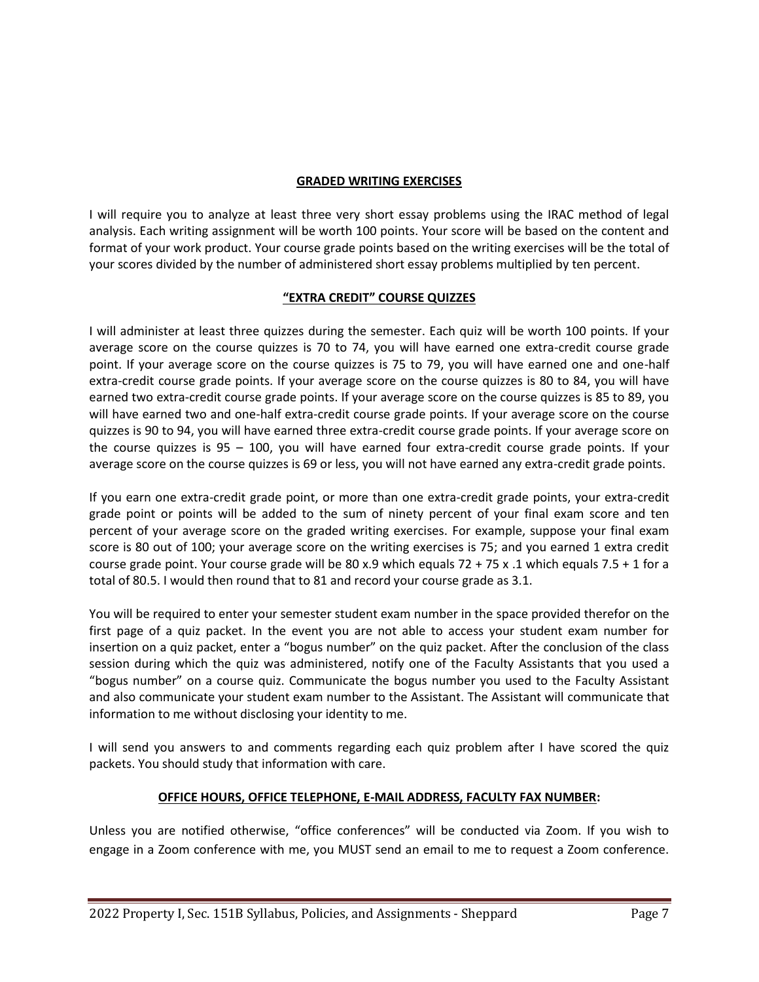### **GRADED WRITING EXERCISES**

I will require you to analyze at least three very short essay problems using the IRAC method of legal analysis. Each writing assignment will be worth 100 points. Your score will be based on the content and format of your work product. Your course grade points based on the writing exercises will be the total of your scores divided by the number of administered short essay problems multiplied by ten percent.

### **"EXTRA CREDIT" COURSE QUIZZES**

I will administer at least three quizzes during the semester. Each quiz will be worth 100 points. If your average score on the course quizzes is 70 to 74, you will have earned one extra-credit course grade point. If your average score on the course quizzes is 75 to 79, you will have earned one and one-half extra-credit course grade points. If your average score on the course quizzes is 80 to 84, you will have earned two extra-credit course grade points. If your average score on the course quizzes is 85 to 89, you will have earned two and one-half extra-credit course grade points. If your average score on the course quizzes is 90 to 94, you will have earned three extra-credit course grade points. If your average score on the course quizzes is 95 – 100, you will have earned four extra-credit course grade points. If your average score on the course quizzes is 69 or less, you will not have earned any extra-credit grade points.

If you earn one extra-credit grade point, or more than one extra-credit grade points, your extra-credit grade point or points will be added to the sum of ninety percent of your final exam score and ten percent of your average score on the graded writing exercises. For example, suppose your final exam score is 80 out of 100; your average score on the writing exercises is 75; and you earned 1 extra credit course grade point. Your course grade will be 80 x.9 which equals  $72 + 75$  x .1 which equals  $7.5 + 1$  for a total of 80.5. I would then round that to 81 and record your course grade as 3.1.

You will be required to enter your semester student exam number in the space provided therefor on the first page of a quiz packet. In the event you are not able to access your student exam number for insertion on a quiz packet, enter a "bogus number" on the quiz packet. After the conclusion of the class session during which the quiz was administered, notify one of the Faculty Assistants that you used a "bogus number" on a course quiz. Communicate the bogus number you used to the Faculty Assistant and also communicate your student exam number to the Assistant. The Assistant will communicate that information to me without disclosing your identity to me.

I will send you answers to and comments regarding each quiz problem after I have scored the quiz packets. You should study that information with care.

## **OFFICE HOURS, OFFICE TELEPHONE, E-MAIL ADDRESS, FACULTY FAX NUMBER:**

Unless you are notified otherwise, "office conferences" will be conducted via Zoom. If you wish to engage in a Zoom conference with me, you MUST send an email to me to request a Zoom conference.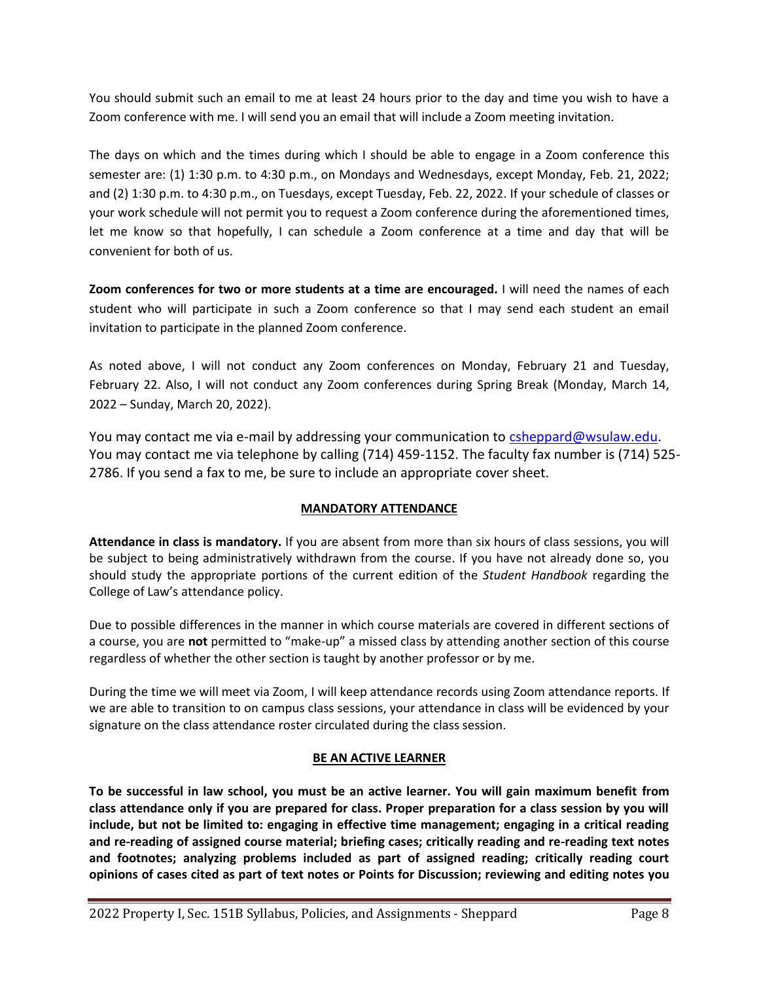You should submit such an email to me at least 24 hours prior to the day and time you wish to have a Zoom conference with me. I will send you an email that will include a Zoom meeting invitation.

The days on which and the times during which I should be able to engage in a Zoom conference this semester are: (1) 1:30 p.m. to 4:30 p.m., on Mondays and Wednesdays, except Monday, Feb. 21, 2022; and (2) 1:30 p.m. to 4:30 p.m., on Tuesdays, except Tuesday, Feb. 22, 2022. If your schedule of classes or your work schedule will not permit you to request a Zoom conference during the aforementioned times, let me know so that hopefully, I can schedule a Zoom conference at a time and day that will be convenient for both of us.

**Zoom conferences for two or more students at a time are encouraged.** I will need the names of each student who will participate in such a Zoom conference so that I may send each student an email invitation to participate in the planned Zoom conference.

As noted above, I will not conduct any Zoom conferences on Monday, February 21 and Tuesday, February 22. Also, I will not conduct any Zoom conferences during Spring Break (Monday, March 14, 2022 – Sunday, March 20, 2022).

You may contact me via e-mail by addressing your communication t[o csheppard@wsulaw.edu.](mailto:csheppard@wsulaw.edu) You may contact me via telephone by calling (714) 459-1152. The faculty fax number is (714) 525- 2786. If you send a fax to me, be sure to include an appropriate cover sheet.

## **MANDATORY ATTENDANCE**

**Attendance in class is mandatory.** If you are absent from more than six hours of class sessions, you will be subject to being administratively withdrawn from the course. If you have not already done so, you should study the appropriate portions of the current edition of the *Student Handbook* regarding the College of Law's attendance policy.

Due to possible differences in the manner in which course materials are covered in different sections of a course, you are **not** permitted to "make-up" a missed class by attending another section of this course regardless of whether the other section is taught by another professor or by me.

During the time we will meet via Zoom, I will keep attendance records using Zoom attendance reports. If we are able to transition to on campus class sessions, your attendance in class will be evidenced by your signature on the class attendance roster circulated during the class session.

## **BE AN ACTIVE LEARNER**

**To be successful in law school, you must be an active learner. You will gain maximum benefit from class attendance only if you are prepared for class. Proper preparation for a class session by you will include, but not be limited to: engaging in effective time management; engaging in a critical reading and re-reading of assigned course material; briefing cases; critically reading and re-reading text notes and footnotes; analyzing problems included as part of assigned reading; critically reading court opinions of cases cited as part of text notes or Points for Discussion; reviewing and editing notes you**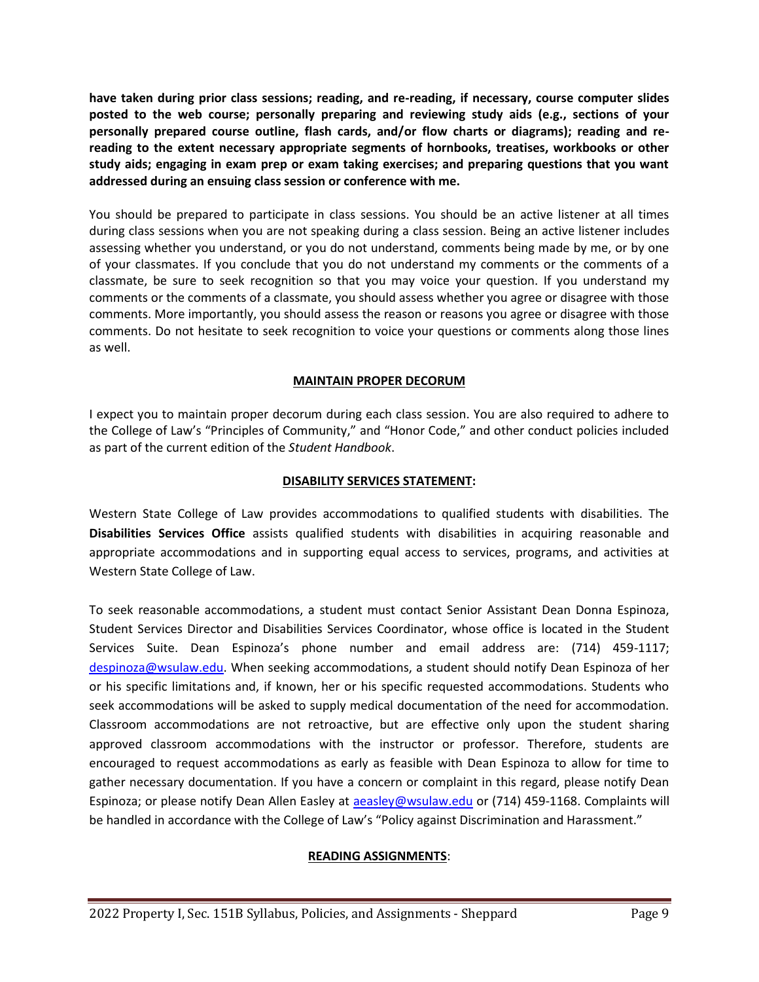**have taken during prior class sessions; reading, and re-reading, if necessary, course computer slides posted to the web course; personally preparing and reviewing study aids (e.g., sections of your personally prepared course outline, flash cards, and/or flow charts or diagrams); reading and rereading to the extent necessary appropriate segments of hornbooks, treatises, workbooks or other study aids; engaging in exam prep or exam taking exercises; and preparing questions that you want addressed during an ensuing class session or conference with me.**

You should be prepared to participate in class sessions. You should be an active listener at all times during class sessions when you are not speaking during a class session. Being an active listener includes assessing whether you understand, or you do not understand, comments being made by me, or by one of your classmates. If you conclude that you do not understand my comments or the comments of a classmate, be sure to seek recognition so that you may voice your question. If you understand my comments or the comments of a classmate, you should assess whether you agree or disagree with those comments. More importantly, you should assess the reason or reasons you agree or disagree with those comments. Do not hesitate to seek recognition to voice your questions or comments along those lines as well.

### **MAINTAIN PROPER DECORUM**

I expect you to maintain proper decorum during each class session. You are also required to adhere to the College of Law's "Principles of Community," and "Honor Code," and other conduct policies included as part of the current edition of the *Student Handbook*.

#### **DISABILITY SERVICES STATEMENT:**

Western State College of Law provides accommodations to qualified students with disabilities. The **Disabilities Services Office** assists qualified students with disabilities in acquiring reasonable and appropriate accommodations and in supporting equal access to services, programs, and activities at Western State College of Law.

To seek reasonable accommodations, a student must contact Senior Assistant Dean Donna Espinoza, Student Services Director and Disabilities Services Coordinator, whose office is located in the Student Services Suite. Dean Espinoza's phone number and email address are: (714) 459-1117; [despinoza@wsulaw.edu.](mailto:despinoza@wsulaw.edu) When seeking accommodations, a student should notify Dean Espinoza of her or his specific limitations and, if known, her or his specific requested accommodations. Students who seek accommodations will be asked to supply medical documentation of the need for accommodation. Classroom accommodations are not retroactive, but are effective only upon the student sharing approved classroom accommodations with the instructor or professor. Therefore, students are encouraged to request accommodations as early as feasible with Dean Espinoza to allow for time to gather necessary documentation. If you have a concern or complaint in this regard, please notify Dean Espinoza; or please notify Dean Allen Easley at [aeasley@wsulaw.edu](mailto:aeasley@wsulaw.edu) or (714) 459-1168. Complaints will be handled in accordance with the College of Law's "Policy against Discrimination and Harassment."

## **READING ASSIGNMENTS**: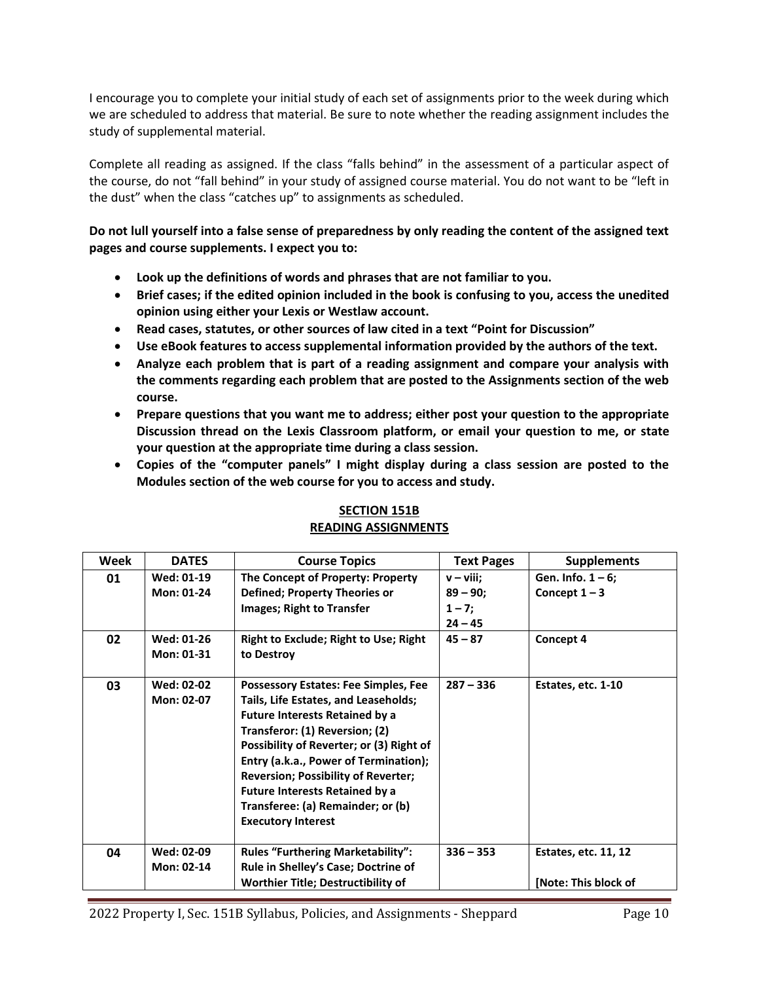I encourage you to complete your initial study of each set of assignments prior to the week during which we are scheduled to address that material. Be sure to note whether the reading assignment includes the study of supplemental material.

Complete all reading as assigned. If the class "falls behind" in the assessment of a particular aspect of the course, do not "fall behind" in your study of assigned course material. You do not want to be "left in the dust" when the class "catches up" to assignments as scheduled.

**Do not lull yourself into a false sense of preparedness by only reading the content of the assigned text pages and course supplements. I expect you to:**

- **Look up the definitions of words and phrases that are not familiar to you.**
- **Brief cases; if the edited opinion included in the book is confusing to you, access the unedited opinion using either your Lexis or Westlaw account.**
- **Read cases, statutes, or other sources of law cited in a text "Point for Discussion"**
- **Use eBook features to access supplemental information provided by the authors of the text.**
- **Analyze each problem that is part of a reading assignment and compare your analysis with the comments regarding each problem that are posted to the Assignments section of the web course.**
- **Prepare questions that you want me to address; either post your question to the appropriate Discussion thread on the Lexis Classroom platform, or email your question to me, or state your question at the appropriate time during a class session.**
- **Copies of the "computer panels" I might display during a class session are posted to the Modules section of the web course for you to access and study.**

| Week | <b>DATES</b> | <b>Course Topics</b>                         | <b>Text Pages</b> | <b>Supplements</b>          |
|------|--------------|----------------------------------------------|-------------------|-----------------------------|
| 01   | Wed: 01-19   | The Concept of Property: Property            | $v - viii$ ;      | Gen. Info. $1 - 6$ ;        |
|      | Mon: 01-24   | <b>Defined; Property Theories or</b>         | $89 - 90;$        | Concept $1-3$               |
|      |              | Images; Right to Transfer                    | $1 - 7;$          |                             |
|      |              |                                              | $24 - 45$         |                             |
| 02   | Wed: 01-26   | <b>Right to Exclude; Right to Use; Right</b> | $45 - 87$         | Concept 4                   |
|      | Mon: 01-31   | to Destroy                                   |                   |                             |
|      |              |                                              |                   |                             |
| 03   | Wed: 02-02   | <b>Possessory Estates: Fee Simples, Fee</b>  | $287 - 336$       | Estates, etc. 1-10          |
|      | Mon: 02-07   | Tails, Life Estates, and Leaseholds;         |                   |                             |
|      |              | <b>Future Interests Retained by a</b>        |                   |                             |
|      |              | Transferor: (1) Reversion; (2)               |                   |                             |
|      |              | Possibility of Reverter; or (3) Right of     |                   |                             |
|      |              | Entry (a.k.a., Power of Termination);        |                   |                             |
|      |              | <b>Reversion; Possibility of Reverter;</b>   |                   |                             |
|      |              | <b>Future Interests Retained by a</b>        |                   |                             |
|      |              | Transferee: (a) Remainder; or (b)            |                   |                             |
|      |              | <b>Executory Interest</b>                    |                   |                             |
|      |              |                                              |                   |                             |
| 04   | Wed: 02-09   | <b>Rules "Furthering Marketability":</b>     | $336 - 353$       | <b>Estates, etc. 11, 12</b> |
|      | Mon: 02-14   | Rule in Shelley's Case; Doctrine of          |                   |                             |
|      |              | <b>Worthier Title; Destructibility of</b>    |                   | [Note: This block of        |

## **SECTION 151B READING ASSIGNMENTS**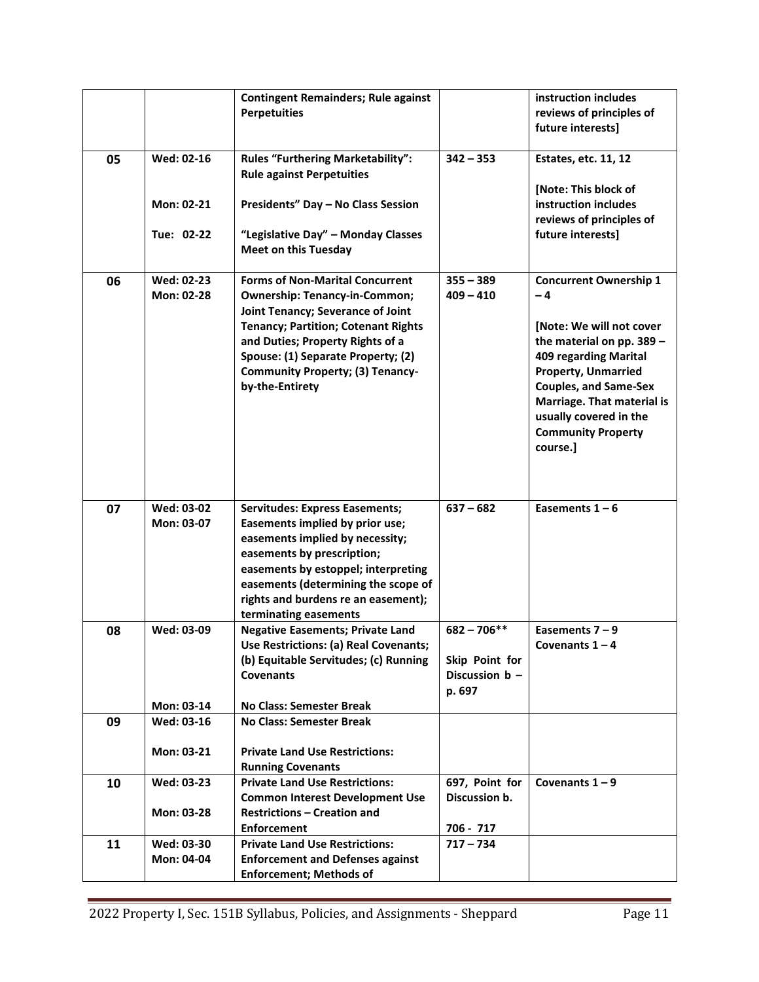|    |                          | <b>Contingent Remainders; Rule against</b><br><b>Perpetuities</b>                                                                                                                                                                                                                                         |                                                             | instruction includes<br>reviews of principles of<br>future interests]                                                                                                                                                                                                                  |
|----|--------------------------|-----------------------------------------------------------------------------------------------------------------------------------------------------------------------------------------------------------------------------------------------------------------------------------------------------------|-------------------------------------------------------------|----------------------------------------------------------------------------------------------------------------------------------------------------------------------------------------------------------------------------------------------------------------------------------------|
| 05 | Wed: 02-16               | <b>Rules "Furthering Marketability":</b><br><b>Rule against Perpetuities</b>                                                                                                                                                                                                                              | $342 - 353$                                                 | Estates, etc. 11, 12                                                                                                                                                                                                                                                                   |
|    | Mon: 02-21               | Presidents" Day - No Class Session                                                                                                                                                                                                                                                                        |                                                             | [Note: This block of<br>instruction includes<br>reviews of principles of                                                                                                                                                                                                               |
|    | Tue: 02-22               | "Legislative Day" - Monday Classes<br><b>Meet on this Tuesday</b>                                                                                                                                                                                                                                         |                                                             | future interests]                                                                                                                                                                                                                                                                      |
| 06 | Wed: 02-23<br>Mon: 02-28 | <b>Forms of Non-Marital Concurrent</b><br><b>Ownership: Tenancy-in-Common;</b><br>Joint Tenancy; Severance of Joint<br><b>Tenancy; Partition; Cotenant Rights</b><br>and Duties; Property Rights of a<br>Spouse: (1) Separate Property; (2)<br><b>Community Property; (3) Tenancy-</b><br>by-the-Entirety | $355 - 389$<br>$409 - 410$                                  | <b>Concurrent Ownership 1</b><br>$-4$<br>[Note: We will not cover<br>the material on pp. 389 -<br>409 regarding Marital<br><b>Property, Unmarried</b><br><b>Couples, and Same-Sex</b><br>Marriage. That material is<br>usually covered in the<br><b>Community Property</b><br>course.] |
| 07 | Wed: 03-02<br>Mon: 03-07 | <b>Servitudes: Express Easements;</b><br>Easements implied by prior use;<br>easements implied by necessity;<br>easements by prescription;<br>easements by estoppel; interpreting<br>easements (determining the scope of<br>rights and burdens re an easement);<br>terminating easements                   | $637 - 682$                                                 | Easements $1 - 6$                                                                                                                                                                                                                                                                      |
| 08 | Wed: 03-09               | <b>Negative Easements; Private Land</b><br>Use Restrictions: (a) Real Covenants;<br>(b) Equitable Servitudes; (c) Running<br><b>Covenants</b>                                                                                                                                                             | $682 - 706**$<br>Skip Point for<br>Discussion b -<br>p. 697 | Easements $7 - 9$<br>Covenants $1 - 4$                                                                                                                                                                                                                                                 |
|    | Mon: 03-14               | <b>No Class: Semester Break</b>                                                                                                                                                                                                                                                                           |                                                             |                                                                                                                                                                                                                                                                                        |
| 09 | Wed: 03-16               | <b>No Class: Semester Break</b>                                                                                                                                                                                                                                                                           |                                                             |                                                                                                                                                                                                                                                                                        |
|    | Mon: 03-21               | <b>Private Land Use Restrictions:</b><br><b>Running Covenants</b>                                                                                                                                                                                                                                         |                                                             |                                                                                                                                                                                                                                                                                        |
| 10 | Wed: 03-23               | <b>Private Land Use Restrictions:</b>                                                                                                                                                                                                                                                                     | 697, Point for                                              | Covenants $1 - 9$                                                                                                                                                                                                                                                                      |
|    | Mon: 03-28               | <b>Common Interest Development Use</b><br><b>Restrictions - Creation and</b><br><b>Enforcement</b>                                                                                                                                                                                                        | Discussion b.<br>706 - 717                                  |                                                                                                                                                                                                                                                                                        |
| 11 | Wed: 03-30               | <b>Private Land Use Restrictions:</b>                                                                                                                                                                                                                                                                     | $717 - 734$                                                 |                                                                                                                                                                                                                                                                                        |
|    | Mon: 04-04               | <b>Enforcement and Defenses against</b><br><b>Enforcement; Methods of</b>                                                                                                                                                                                                                                 |                                                             |                                                                                                                                                                                                                                                                                        |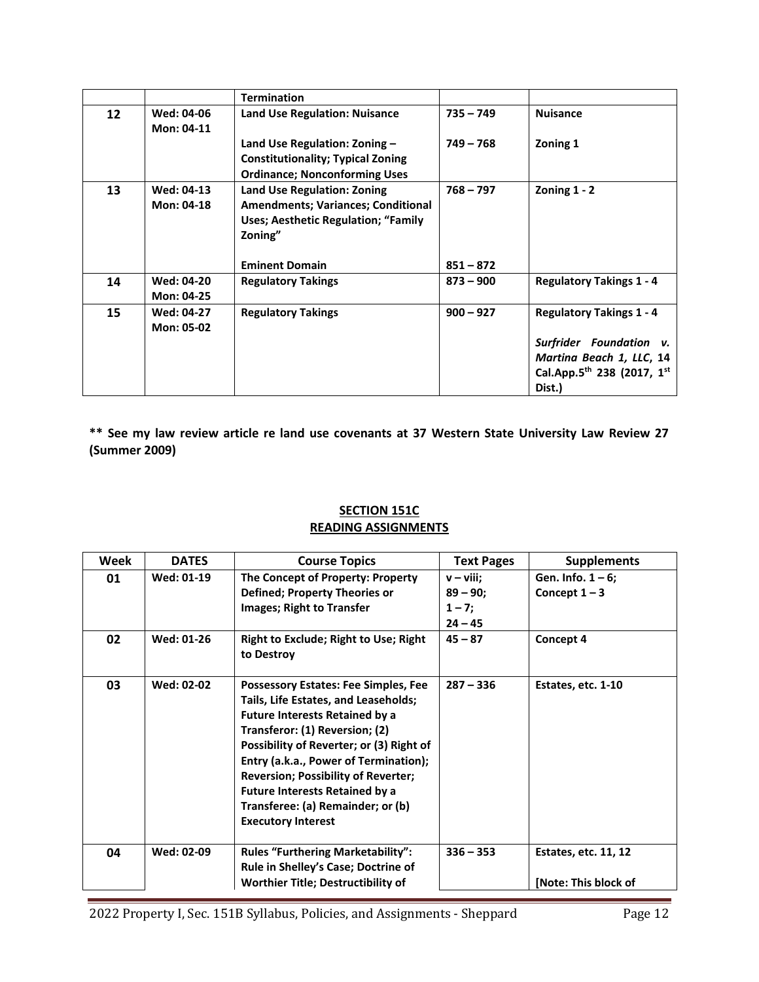|    |                                 | <b>Termination</b>                                                                                                                       |             |                                                                                           |
|----|---------------------------------|------------------------------------------------------------------------------------------------------------------------------------------|-------------|-------------------------------------------------------------------------------------------|
| 12 | Wed: 04-06<br>Mon: 04-11        | <b>Land Use Regulation: Nuisance</b>                                                                                                     | $735 - 749$ | <b>Nuisance</b>                                                                           |
|    |                                 | Land Use Regulation: Zoning $-$<br><b>Constitutionality; Typical Zoning</b><br><b>Ordinance; Nonconforming Uses</b>                      | $749 - 768$ | Zoning 1                                                                                  |
| 13 | <b>Wed: 04-13</b><br>Mon: 04-18 | <b>Land Use Regulation: Zoning</b><br><b>Amendments; Variances; Conditional</b><br><b>Uses; Aesthetic Regulation; "Family</b><br>Zoning" | $768 - 797$ | Zoning $1 - 2$                                                                            |
|    |                                 | <b>Eminent Domain</b>                                                                                                                    | $851 - 872$ |                                                                                           |
| 14 | Wed: 04-20<br>Mon: 04-25        | <b>Regulatory Takings</b>                                                                                                                | $873 - 900$ | <b>Regulatory Takings 1 - 4</b>                                                           |
| 15 | <b>Wed: 04-27</b><br>Mon: 05-02 | <b>Regulatory Takings</b>                                                                                                                | $900 - 927$ | <b>Regulatory Takings 1 - 4</b><br>Surfrider Foundation<br>V.<br>Martina Beach 1, LLC, 14 |
|    |                                 |                                                                                                                                          |             | Cal.App.5th 238 (2017, 1st<br>Dist.)                                                      |

**\*\* See my law review article re land use covenants at 37 Western State University Law Review 27 (Summer 2009)** 

## **SECTION 151C READING ASSIGNMENTS**

| Week | <b>DATES</b>      | <b>Course Topics</b>                                                                                                                                                                                                                                                                                                                                                                                         | <b>Text Pages</b>                                    | <b>Supplements</b>                      |
|------|-------------------|--------------------------------------------------------------------------------------------------------------------------------------------------------------------------------------------------------------------------------------------------------------------------------------------------------------------------------------------------------------------------------------------------------------|------------------------------------------------------|-----------------------------------------|
| 01   | <b>Wed: 01-19</b> | The Concept of Property: Property<br><b>Defined; Property Theories or</b><br>Images; Right to Transfer                                                                                                                                                                                                                                                                                                       | $v - viii$ ;<br>$89 - 90;$<br>$1 - 7$ ;<br>$24 - 45$ | Gen. Info. $1 - 6$ ;<br>Concept $1 - 3$ |
| 02   | Wed: 01-26        | <b>Right to Exclude; Right to Use; Right</b><br>to Destroy                                                                                                                                                                                                                                                                                                                                                   | $45 - 87$                                            | Concept 4                               |
| 03   | <b>Wed: 02-02</b> | <b>Possessory Estates: Fee Simples, Fee</b><br>Tails, Life Estates, and Leaseholds;<br><b>Future Interests Retained by a</b><br>Transferor: (1) Reversion; (2)<br>Possibility of Reverter; or (3) Right of<br>Entry (a.k.a., Power of Termination);<br><b>Reversion; Possibility of Reverter;</b><br><b>Future Interests Retained by a</b><br>Transferee: (a) Remainder; or (b)<br><b>Executory Interest</b> | $287 - 336$                                          | Estates, etc. 1-10                      |
| 04   | Wed: 02-09        | <b>Rules "Furthering Marketability":</b><br>Rule in Shelley's Case; Doctrine of                                                                                                                                                                                                                                                                                                                              | $336 - 353$                                          | <b>Estates, etc. 11, 12</b>             |
|      |                   | <b>Worthier Title; Destructibility of</b>                                                                                                                                                                                                                                                                                                                                                                    |                                                      | [Note: This block of                    |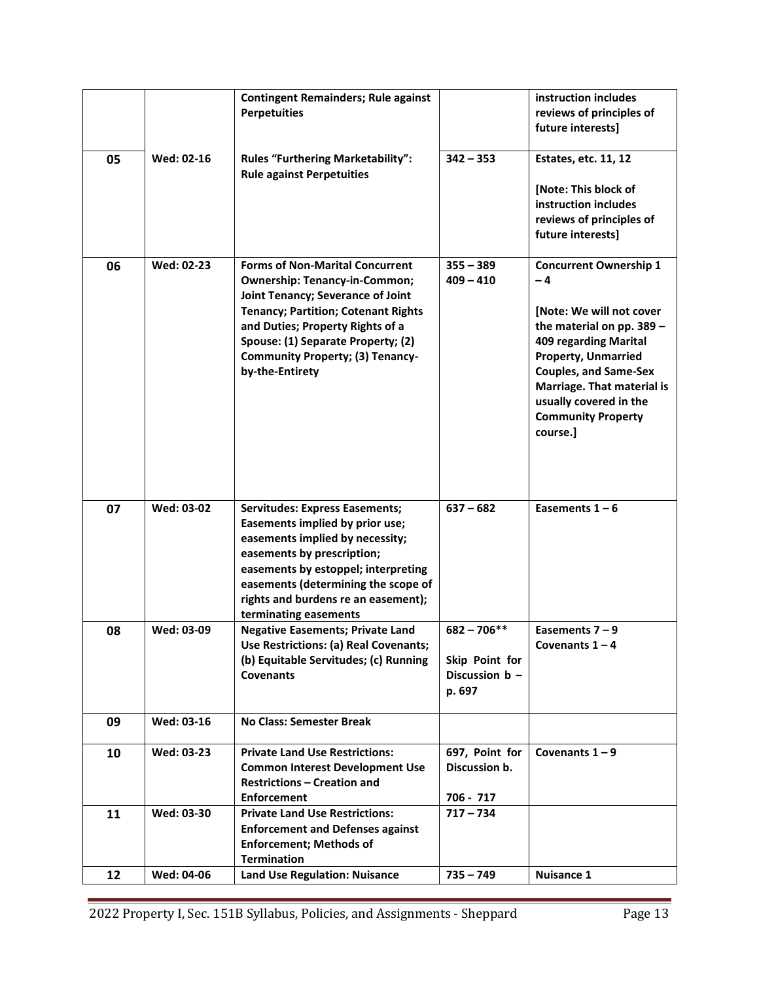|    |            | <b>Contingent Remainders; Rule against</b><br><b>Perpetuities</b>                                                                                                                                                                                                                                         |                                                               | instruction includes<br>reviews of principles of<br>future interests]                                                                                                                                                                                                                |
|----|------------|-----------------------------------------------------------------------------------------------------------------------------------------------------------------------------------------------------------------------------------------------------------------------------------------------------------|---------------------------------------------------------------|--------------------------------------------------------------------------------------------------------------------------------------------------------------------------------------------------------------------------------------------------------------------------------------|
| 05 | Wed: 02-16 | <b>Rules "Furthering Marketability":</b><br><b>Rule against Perpetuities</b>                                                                                                                                                                                                                              | $342 - 353$                                                   | Estates, etc. 11, 12<br>[Note: This block of<br>instruction includes<br>reviews of principles of<br>future interests]                                                                                                                                                                |
| 06 | Wed: 02-23 | <b>Forms of Non-Marital Concurrent</b><br><b>Ownership: Tenancy-in-Common;</b><br>Joint Tenancy; Severance of Joint<br><b>Tenancy; Partition; Cotenant Rights</b><br>and Duties; Property Rights of a<br>Spouse: (1) Separate Property; (2)<br><b>Community Property; (3) Tenancy-</b><br>by-the-Entirety | $355 - 389$<br>$409 - 410$                                    | <b>Concurrent Ownership 1</b><br>-4<br>[Note: We will not cover<br>the material on pp. 389 -<br>409 regarding Marital<br><b>Property, Unmarried</b><br><b>Couples, and Same-Sex</b><br>Marriage. That material is<br>usually covered in the<br><b>Community Property</b><br>course.] |
| 07 | Wed: 03-02 | <b>Servitudes: Express Easements;</b><br>Easements implied by prior use;<br>easements implied by necessity;<br>easements by prescription;<br>easements by estoppel; interpreting<br>easements (determining the scope of<br>rights and burdens re an easement);<br>terminating easements                   | $637 - 682$                                                   | Easements $1 - 6$                                                                                                                                                                                                                                                                    |
| 08 | Wed: 03-09 | <b>Negative Easements; Private Land</b><br>Use Restrictions: (a) Real Covenants;<br>(b) Equitable Servitudes; (c) Running<br><b>Covenants</b>                                                                                                                                                             | $682 - 706**$<br>Skip Point for<br>Discussion $b -$<br>p. 697 | Easements $7 - 9$<br>Covenants $1 - 4$                                                                                                                                                                                                                                               |
| 09 | Wed: 03-16 | <b>No Class: Semester Break</b>                                                                                                                                                                                                                                                                           |                                                               |                                                                                                                                                                                                                                                                                      |
| 10 | Wed: 03-23 | <b>Private Land Use Restrictions:</b><br><b>Common Interest Development Use</b><br><b>Restrictions - Creation and</b><br><b>Enforcement</b>                                                                                                                                                               | 697, Point for<br>Discussion b.<br>706 - 717                  | Covenants $1 - 9$                                                                                                                                                                                                                                                                    |
| 11 | Wed: 03-30 | <b>Private Land Use Restrictions:</b><br><b>Enforcement and Defenses against</b><br><b>Enforcement; Methods of</b><br><b>Termination</b>                                                                                                                                                                  | $717 - 734$                                                   |                                                                                                                                                                                                                                                                                      |
| 12 | Wed: 04-06 | <b>Land Use Regulation: Nuisance</b>                                                                                                                                                                                                                                                                      | $735 - 749$                                                   | Nuisance 1                                                                                                                                                                                                                                                                           |